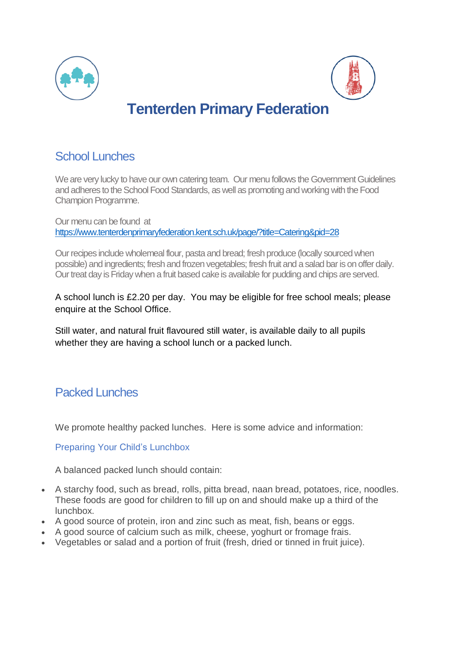



# **Tenterden Primary Federation**

### School Lunches

We are very lucky to have our own catering team. Our menu follows the Government Guidelines and adheres to the School Food Standards, as well as promoting and working with the Food Champion Programme.

Our menu can be found at <https://www.tenterdenprimaryfederation.kent.sch.uk/page/?title=Catering&pid=28>

Our recipes include wholemeal flour, pasta and bread; fresh produce (locally sourced when possible) and ingredients; fresh and frozen vegetables; fresh fruit and a salad bar is on offer daily. Our treat day is Friday when a fruit based cake is available for pudding and chips are served.

A school lunch is £2.20 per day. You may be eligible for free school meals; please enquire at the School Office.

Still water, and natural fruit flavoured still water, is available daily to all pupils whether they are having a school lunch or a packed lunch.

## Packed Lunches

We promote healthy packed lunches. Here is some advice and information:

Preparing Your Child's Lunchbox

A balanced packed lunch should contain:

- A starchy food, such as bread, rolls, pitta bread, naan bread, potatoes, rice, noodles. These foods are good for children to fill up on and should make up a third of the lunchbox.
- A good source of protein, iron and zinc such as meat, fish, beans or eggs.
- A good source of calcium such as milk, cheese, yoghurt or fromage frais.
- Vegetables or salad and a portion of fruit (fresh, dried or tinned in fruit juice).